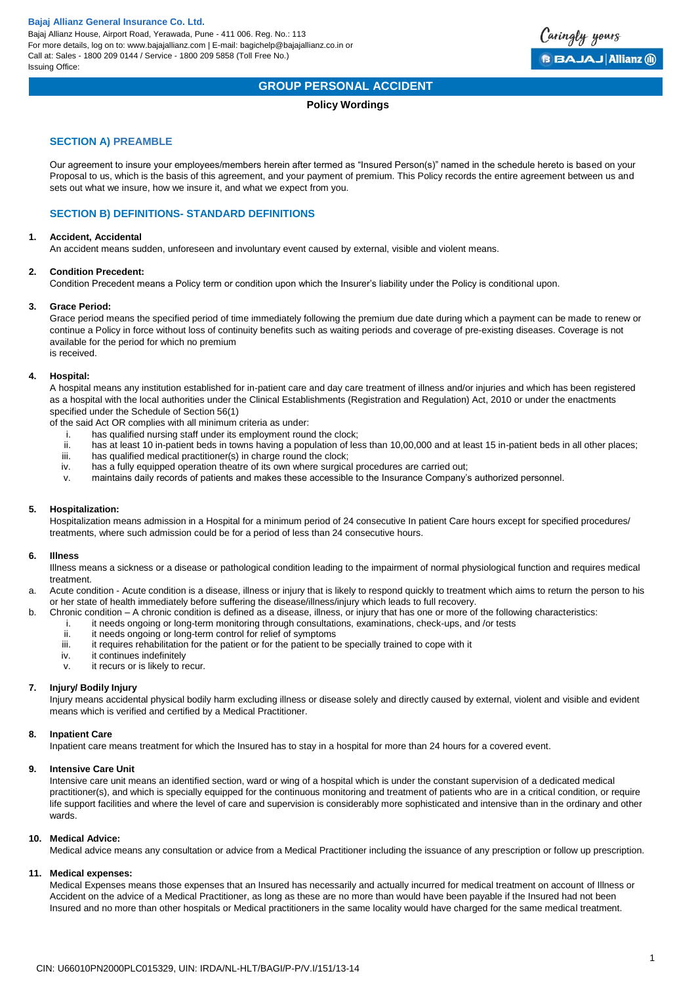Bajaj Allianz House, Airport Road, Yerawada, Pune - 411 006. Reg. No.: 113 For more details, log on to: www.bajajallianz.com | E-mail: bagichelp@bajajallianz.co.in or Call at: Sales - 1800 209 0144 / Service - 1800 209 5858 (Toll Free No.) Issuing Office:



# **GROUP PERSONAL ACCIDENT**

# **Policy Wordings**

# **SECTION A) PREAMBLE**

Our agreement to insure your employees/members herein after termed as "Insured Person(s)" named in the schedule hereto is based on your Proposal to us, which is the basis of this agreement, and your payment of premium. This Policy records the entire agreement between us and sets out what we insure, how we insure it, and what we expect from you.

# **SECTION B) DEFINITIONS- STANDARD DEFINITIONS**

#### **1. Accident, Accidental**

An accident means sudden, unforeseen and involuntary event caused by external, visible and violent means.

## **2. Condition Precedent:**

Condition Precedent means a Policy term or condition upon which the Insurer's liability under the Policy is conditional upon.

## **3. Grace Period:**

Grace period means the specified period of time immediately following the premium due date during which a payment can be made to renew or continue a Policy in force without loss of continuity benefits such as waiting periods and coverage of pre-existing diseases. Coverage is not available for the period for which no premium is received.

#### **4. Hospital:**

A hospital means any institution established for in-patient care and day care treatment of illness and/or injuries and which has been registered as a hospital with the local authorities under the Clinical Establishments (Registration and Regulation) Act, 2010 or under the enactments specified under the Schedule of Section 56(1)

of the said Act OR complies with all minimum criteria as under:

- i. has qualified nursing staff under its employment round the clock;
- ii. has at least 10 in-patient beds in towns having a population of less than 10,00,000 and at least 15 in-patient beds in all other places;<br>iii. has qualified medical practitioner(s) in charge round the clock:
- iii. has qualified medical practitioner(s) in charge round the clock;<br>iv. has a fully equipped operation theatre of its own where surgical
- has a fully equipped operation theatre of its own where surgical procedures are carried out;
- v. maintains daily records of patients and makes these accessible to the Insurance Company's authorized personnel.

## **5. Hospitalization:**

Hospitalization means admission in a Hospital for a minimum period of 24 consecutive In patient Care hours except for specified procedures/ treatments, where such admission could be for a period of less than 24 consecutive hours.

#### **6. Illness**

Illness means a sickness or a disease or pathological condition leading to the impairment of normal physiological function and requires medical treatment.

a. Acute condition - Acute condition is a disease, illness or injury that is likely to respond quickly to treatment which aims to return the person to his or her state of health immediately before suffering the disease/illness/injury which leads to full recovery.

- b. Chronic condition A chronic condition is defined as a disease, illness, or injury that has one or more of the following characteristics:
	- i. it needs ongoing or long-term monitoring through consultations, examinations, check-ups, and /or tests<br>ii. it needs ongoing or long-term control for relief of symptoms
	- it needs ongoing or long-term control for relief of symptoms
	- iii. it requires rehabilitation for the patient or for the patient to be specially trained to cope with it
	- iv. it continues indefinitely
	- v. it recurs or is likely to recur.

## **7. Injury/ Bodily Injury**

Injury means accidental physical bodily harm excluding illness or disease solely and directly caused by external, violent and visible and evident means which is verified and certified by a Medical Practitioner.

## **8. Inpatient Care**

Inpatient care means treatment for which the Insured has to stay in a hospital for more than 24 hours for a covered event.

#### **9. Intensive Care Unit**

Intensive care unit means an identified section, ward or wing of a hospital which is under the constant supervision of a dedicated medical practitioner(s), and which is specially equipped for the continuous monitoring and treatment of patients who are in a critical condition, or require life support facilities and where the level of care and supervision is considerably more sophisticated and intensive than in the ordinary and other wards.

#### **10. Medical Advice:**

Medical advice means any consultation or advice from a Medical Practitioner including the issuance of any prescription or follow up prescription.

#### **11. Medical expenses:**

Medical Expenses means those expenses that an Insured has necessarily and actually incurred for medical treatment on account of Illness or Accident on the advice of a Medical Practitioner, as long as these are no more than would have been payable if the Insured had not been Insured and no more than other hospitals or Medical practitioners in the same locality would have charged for the same medical treatment.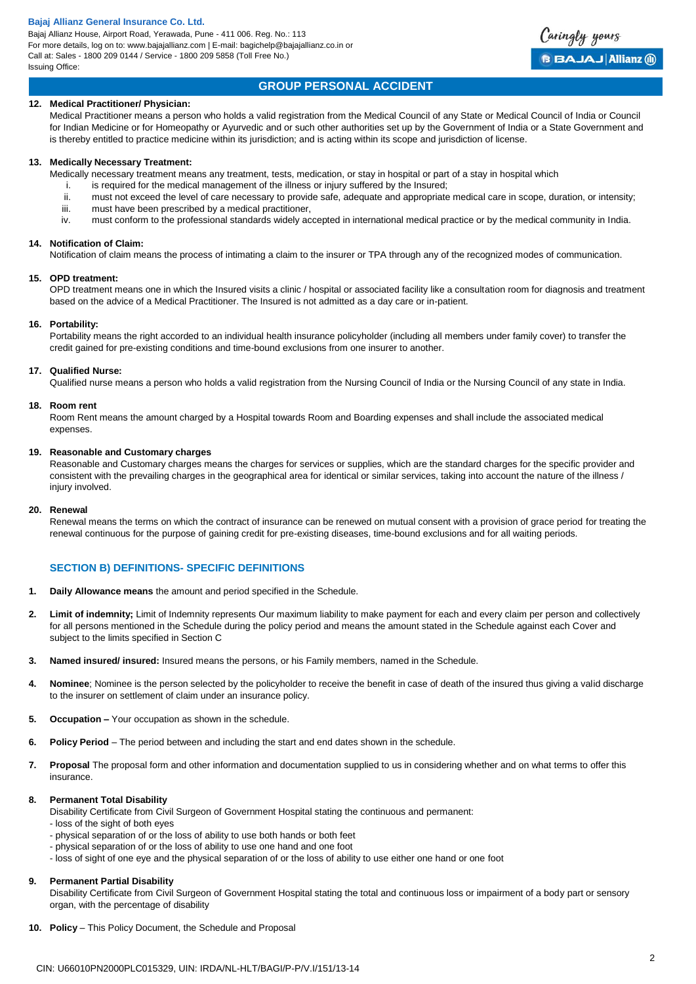Bajaj Allianz House, Airport Road, Yerawada, Pune - 411 006. Reg. No.: 113 For more details, log on to: www.bajajallianz.com | E-mail: bagichelp@bajajallianz.co.in or Call at: Sales - 1800 209 0144 / Service - 1800 209 5858 (Toll Free No.) Issuing Office:



# **GROUP PERSONAL ACCIDENT**

# **12. Medical Practitioner/ Physician:**

Medical Practitioner means a person who holds a valid registration from the Medical Council of any State or Medical Council of India or Council for Indian Medicine or for Homeopathy or Ayurvedic and or such other authorities set up by the Government of India or a State Government and is thereby entitled to practice medicine within its jurisdiction; and is acting within its scope and jurisdiction of license.

#### **13. Medically Necessary Treatment:**

Medically necessary treatment means any treatment, tests, medication, or stay in hospital or part of a stay in hospital which

- i. is required for the medical management of the illness or injury suffered by the Insured;
- ii. must not exceed the level of care necessary to provide safe, adequate and appropriate medical care in scope, duration, or intensity;
- iii. must have been prescribed by a medical practitioner,
- iv. must conform to the professional standards widely accepted in international medical practice or by the medical community in India.

#### **14. Notification of Claim:**

Notification of claim means the process of intimating a claim to the insurer or TPA through any of the recognized modes of communication.

#### **15. OPD treatment:**

OPD treatment means one in which the Insured visits a clinic / hospital or associated facility like a consultation room for diagnosis and treatment based on the advice of a Medical Practitioner. The Insured is not admitted as a day care or in-patient.

#### **16. Portability:**

Portability means the right accorded to an individual health insurance policyholder (including all members under family cover) to transfer the credit gained for pre-existing conditions and time-bound exclusions from one insurer to another.

#### **17. Qualified Nurse:**

Qualified nurse means a person who holds a valid registration from the Nursing Council of India or the Nursing Council of any state in India.

#### **18. Room rent**

Room Rent means the amount charged by a Hospital towards Room and Boarding expenses and shall include the associated medical expenses.

## **19. Reasonable and Customary charges**

Reasonable and Customary charges means the charges for services or supplies, which are the standard charges for the specific provider and consistent with the prevailing charges in the geographical area for identical or similar services, taking into account the nature of the illness / injury involved.

## **20. Renewal**

Renewal means the terms on which the contract of insurance can be renewed on mutual consent with a provision of grace period for treating the renewal continuous for the purpose of gaining credit for pre-existing diseases, time-bound exclusions and for all waiting periods.

# **SECTION B) DEFINITIONS- SPECIFIC DEFINITIONS**

- **1. Daily Allowance means** the amount and period specified in the Schedule.
- **2. Limit of indemnity;** Limit of Indemnity represents Our maximum liability to make payment for each and every claim per person and collectively for all persons mentioned in the Schedule during the policy period and means the amount stated in the Schedule against each Cover and subject to the limits specified in Section C
- **3. Named insured/ insured:** Insured means the persons, or his Family members, named in the Schedule.
- **4. Nominee**; Nominee is the person selected by the policyholder to receive the benefit in case of death of the insured thus giving a valid discharge to the insurer on settlement of claim under an insurance policy.
- **5. Occupation –** Your occupation as shown in the schedule.
- **6. Policy Period**  The period between and including the start and end dates shown in the schedule.
- **7. Proposal** The proposal form and other information and documentation supplied to us in considering whether and on what terms to offer this insurance.

## **8. Permanent Total Disability**

Disability Certificate from Civil Surgeon of Government Hospital stating the continuous and permanent:

- loss of the sight of both eyes
- physical separation of or the loss of ability to use both hands or both feet
- physical separation of or the loss of ability to use one hand and one foot
- loss of sight of one eye and the physical separation of or the loss of ability to use either one hand or one foot

## **9. Permanent Partial Disability**

Disability Certificate from Civil Surgeon of Government Hospital stating the total and continuous loss or impairment of a body part or sensory organ, with the percentage of disability

10. **Policy** – This Policy Document, the Schedule and Proposal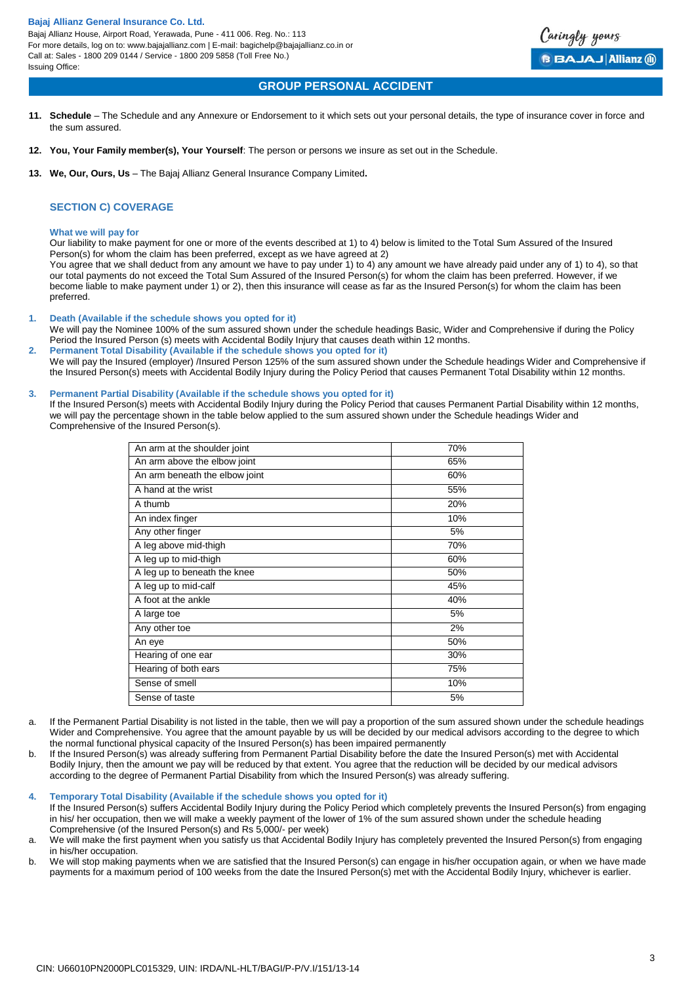For more details, log on to: www.bajajallianz.com | E-mail: bagichelp@bajajallianz.co.in or Call at: Sales - 1800 209 0144 / Service - 1800 209 5858 (Toll Free No.) Issuing Office:

# **GROUP PERSONAL ACCIDENT**

- **11. Schedule**  The Schedule and any Annexure or Endorsement to it which sets out your personal details, the type of insurance cover in force and the sum assured.
- **12. You, Your Family member(s), Your Yourself**: The person or persons we insure as set out in the Schedule.
- **13. We, Our, Ours, Us**  The Bajaj Allianz General Insurance Company Limited**.**

# **SECTION C) COVERAGE**

#### **What we will pay for**

Our liability to make payment for one or more of the events described at 1) to 4) below is limited to the Total Sum Assured of the Insured Person(s) for whom the claim has been preferred, except as we have agreed at 2)

You agree that we shall deduct from any amount we have to pay under 1) to 4) any amount we have already paid under any of 1) to 4), so that our total payments do not exceed the Total Sum Assured of the Insured Person(s) for whom the claim has been preferred. However, if we become liable to make payment under 1) or 2), then this insurance will cease as far as the Insured Person(s) for whom the claim has been preferred.

**1. Death (Available if the schedule shows you opted for it)**

We will pay the Nominee 100% of the sum assured shown under the schedule headings Basic, Wider and Comprehensive if during the Policy Period the Insured Person (s) meets with Accidental Bodily Injury that causes death within 12 months. **2. Permanent Total Disability (Available if the schedule shows you opted for it)**

We will pay the Insured (employer) /Insured Person 125% of the sum assured shown under the Schedule headings Wider and Comprehensive if the Insured Person(s) meets with Accidental Bodily Injury during the Policy Period that causes Permanent Total Disability within 12 months.

#### **3. Permanent Partial Disability (Available if the schedule shows you opted for it)**

If the Insured Person(s) meets with Accidental Bodily Injury during the Policy Period that causes Permanent Partial Disability within 12 months, we will pay the percentage shown in the table below applied to the sum assured shown under the Schedule headings Wider and Comprehensive of the Insured Person(s).

| An arm at the shoulder joint   | 70% |
|--------------------------------|-----|
| An arm above the elbow joint   | 65% |
| An arm beneath the elbow joint | 60% |
| A hand at the wrist            | 55% |
| A thumb                        | 20% |
| An index finger                | 10% |
| Any other finger               | 5%  |
| A leg above mid-thigh          | 70% |
| A leg up to mid-thigh          | 60% |
| A leg up to beneath the knee   | 50% |
| A leg up to mid-calf           | 45% |
| A foot at the ankle            | 40% |
| A large toe                    | 5%  |
| Any other toe                  | 2%  |
| An eye                         | 50% |
| Hearing of one ear             | 30% |
| Hearing of both ears           | 75% |
| Sense of smell                 | 10% |
| Sense of taste                 | 5%  |

- a. If the Permanent Partial Disability is not listed in the table, then we will pay a proportion of the sum assured shown under the schedule headings Wider and Comprehensive. You agree that the amount payable by us will be decided by our medical advisors according to the degree to which the normal functional physical capacity of the Insured Person(s) has been impaired permanently
- b. If the Insured Person(s) was already suffering from Permanent Partial Disability before the date the Insured Person(s) met with Accidental Bodily Injury, then the amount we pay will be reduced by that extent. You agree that the reduction will be decided by our medical advisors according to the degree of Permanent Partial Disability from which the Insured Person(s) was already suffering.

#### **4. Temporary Total Disability (Available if the schedule shows you opted for it)**

If the Insured Person(s) suffers Accidental Bodily Injury during the Policy Period which completely prevents the Insured Person(s) from engaging in his/ her occupation, then we will make a weekly payment of the lower of 1% of the sum assured shown under the schedule heading Comprehensive (of the Insured Person(s) and Rs 5,000/- per week)

a. We will make the first payment when you satisfy us that Accidental Bodily Injury has completely prevented the Insured Person(s) from engaging in his/her occupation.

b. We will stop making payments when we are satisfied that the Insured Person(s) can engage in his/her occupation again, or when we have made payments for a maximum period of 100 weeks from the date the Insured Person(s) met with the Accidental Bodily Injury, whichever is earlier.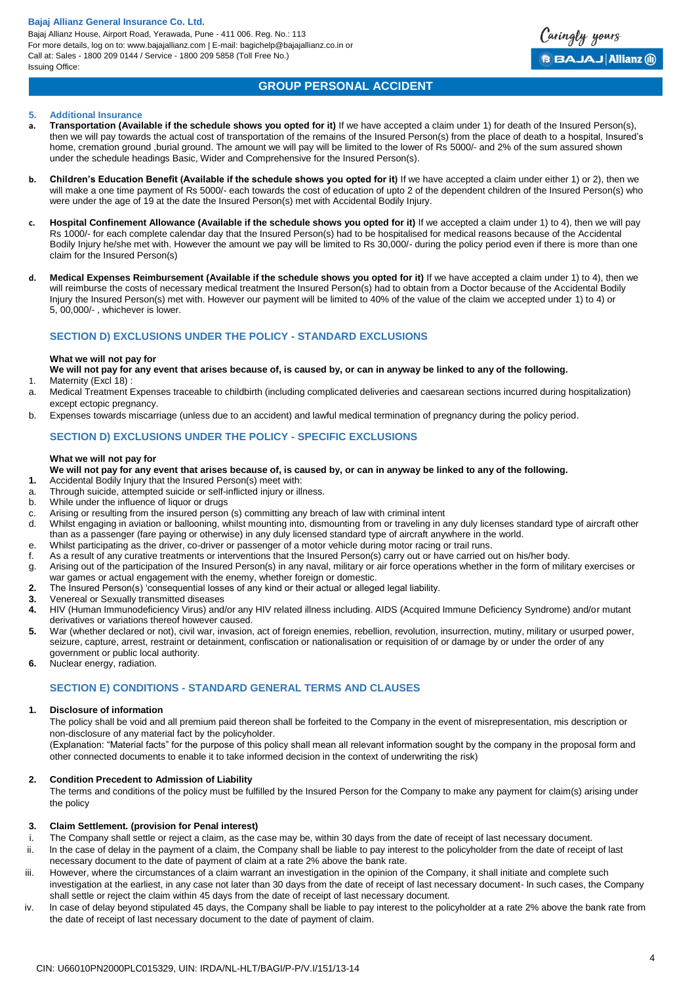Bajaj Allianz House, Airport Road, Yerawada, Pune - 411 006. Reg. No.: 113 For more details, log on to: www.bajajallianz.com | E-mail: bagichelp@bajajallianz.co.in or Call at: Sales - 1800 209 0144 / Service - 1800 209 5858 (Toll Free No.) Issuing Office:



# **GROUP PERSONAL ACCIDENT**

## **5. Additional Insurance**

- a. **Transportation (Available if the schedule shows you opted for it)** If we have accepted a claim under 1) for death of the Insured Person(s). then we will pay towards the actual cost of transportation of the remains of the Insured Person(s) from the place of death to a hospital, Insured's home, cremation ground ,burial ground. The amount we will pay will be limited to the lower of Rs 5000/- and 2% of the sum assured shown under the schedule headings Basic, Wider and Comprehensive for the Insured Person(s).
- **b. Children's Education Benefit (Available if the schedule shows you opted for it)** If we have accepted a claim under either 1) or 2), then we will make a one time payment of Rs 5000/- each towards the cost of education of upto 2 of the dependent children of the Insured Person(s) who were under the age of 19 at the date the Insured Person(s) met with Accidental Bodily Injury.
- **c. Hospital Confinement Allowance (Available if the schedule shows you opted for it)** If we accepted a claim under 1) to 4), then we will pay Rs 1000/- for each complete calendar day that the Insured Person(s) had to be hospitalised for medical reasons because of the Accidental Bodily Injury he/she met with. However the amount we pay will be limited to Rs 30,000/- during the policy period even if there is more than one claim for the Insured Person(s)
- **d. Medical Expenses Reimbursement (Available if the schedule shows you opted for it)** If we have accepted a claim under 1) to 4), then we will reimburse the costs of necessary medical treatment the Insured Person(s) had to obtain from a Doctor because of the Accidental Bodily Injury the Insured Person(s) met with. However our payment will be limited to 40% of the value of the claim we accepted under 1) to 4) or 5, 00,000/- , whichever is lower.

# **SECTION D) EXCLUSIONS UNDER THE POLICY - STANDARD EXCLUSIONS**

#### **What we will not pay for**

- **We will not pay for any event that arises because of, is caused by, or can in anyway be linked to any of the following.** 1. Maternity (Excl 18)
- a. Medical Treatment Expenses traceable to childbirth (including complicated deliveries and caesarean sections incurred during hospitalization) except ectopic pregnancy.
- b. Expenses towards miscarriage (unless due to an accident) and lawful medical termination of pregnancy during the policy period.

# **SECTION D) EXCLUSIONS UNDER THE POLICY - SPECIFIC EXCLUSIONS**

## **What we will not pay for**

- **We will not pay for any event that arises because of, is caused by, or can in anyway be linked to any of the following.**
- **1.** Accidental Bodily Injury that the Insured Person(s) meet with:
- a. Through suicide, attempted suicide or self-inflicted injury or illness.
- b. While under the influence of liquor or drugs
- c. Arising or resulting from the insured person (s) committing any breach of law with criminal intent
- d. Whilst engaging in aviation or ballooning, whilst mounting into, dismounting from or traveling in any duly licenses standard type of aircraft other than as a passenger (fare paying or otherwise) in any duly licensed standard type of aircraft anywhere in the world.
- e. Whilst participating as the driver, co-driver or passenger of a motor vehicle during motor racing or trail runs.
- f. As a result of any curative treatments or interventions that the Insured Person(s) carry out or have carried out on his/her body.
- g. Arising out of the participation of the Insured Person(s) in any naval, military or air force operations whether in the form of military exercises or
- war games or actual engagement with the enemy, whether foreign or domestic. **2.** The Insured Person(s) 'consequential losses of any kind or their actual or alleged legal liability.
- **3.** Venereal or Sexually transmitted diseases
- **4.** HIV (Human Immunodeficiency Virus) and/or any HIV related illness including. AIDS (Acquired Immune Deficiency Syndrome) and/or mutant derivatives or variations thereof however caused.
- **5.** War (whether declared or not), civil war, invasion, act of foreign enemies, rebellion, revolution, insurrection, mutiny, military or usurped power, seizure, capture, arrest, restraint or detainment, confiscation or nationalisation or requisition of or damage by or under the order of any government or public local authority.
- **6.** Nuclear energy, radiation.

# **SECTION E) CONDITIONS - STANDARD GENERAL TERMS AND CLAUSES**

## **1. Disclosure of information**

The policy shall be void and all premium paid thereon shall be forfeited to the Company in the event of misrepresentation, mis description or non-disclosure of any material fact by the policyholder.

(Explanation: "Material facts" for the purpose of this policy shall mean all relevant information sought by the company in the proposal form and other connected documents to enable it to take informed decision in the context of underwriting the risk)

## **2. Condition Precedent to Admission of Liability**

The terms and conditions of the policy must be fulfilled by the Insured Person for the Company to make any payment for claim(s) arising under the policy

#### **3. Claim Settlement. (provision for Penal interest)**

- i. The Company shall settle or reject a claim, as the case may be, within 30 days from the date of receipt of last necessary document.
- ii. ln the case of delay in the payment of a claim, the Company shall be liable to pay interest to the policyholder from the date of receipt of last necessary document to the date of payment of claim at a rate 2% above the bank rate.
- iii. However, where the circumstances of a claim warrant an investigation in the opinion of the Company, it shall initiate and complete such investigation at the earliest, in any case not later than 30 days from the date of receipt of last necessary document- ln such cases, the Company shall settle or reject the claim within 45 days from the date of receipt of last necessary document.
- iv. ln case of delay beyond stipulated 45 days, the Company shall be liable to pay interest to the policyholder at a rate 2% above the bank rate from the date of receipt of last necessary document to the date of payment of claim.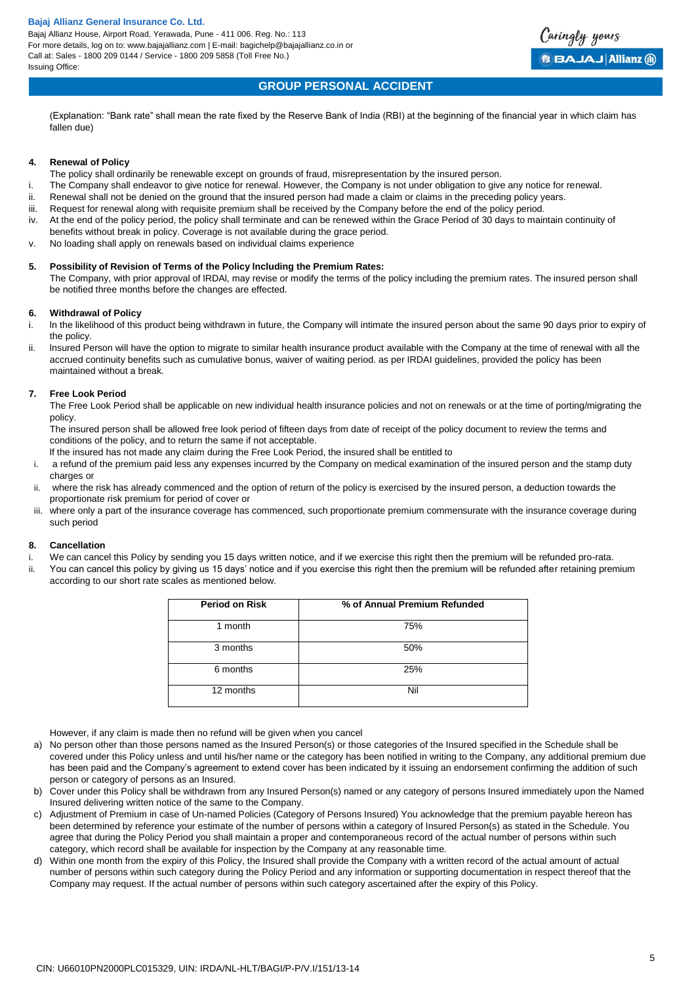Bajaj Allianz House, Airport Road, Yerawada, Pune - 411 006. Reg. No.: 113 For more details, log on to: www.bajajallianz.com | E-mail: bagichelp@bajajallianz.co.in or Call at: Sales - 1800 209 0144 / Service - 1800 209 5858 (Toll Free No.) Issuing Office:



# **GROUP PERSONAL ACCIDENT**

(Explanation: "Bank rate" shall mean the rate fixed by the Reserve Bank of India (RBI) at the beginning of the financial year in which claim has fallen due)

#### **4. Renewal of Policy**

- The policy shall ordinarily be renewable except on grounds of fraud, misrepresentation by the insured person.
- i. The Company shall endeavor to give notice for renewal. However, the Company is not under obligation to give any notice for renewal.
- ii. Renewal shall not be denied on the ground that the insured person had made a claim or claims in the preceding policy years.
- iii. Request for renewal along with requisite premium shall be received by the Company before the end of the policy period.
- iv. At the end of the policy period, the policy shall terminate and can be renewed within the Grace Period of 30 days to maintain continuity of benefits without break in policy. Coverage is not available during the grace period.
- v. No loading shall apply on renewals based on individual claims experience

# **5. Possibility of Revision of Terms of the Policy lncluding the Premium Rates:**

The Company, with prior approval of lRDAl, may revise or modify the terms of the policy including the premium rates. The insured person shall be notified three months before the changes are effected.

#### **6. Withdrawal of Policy**

- i. ln the likelihood of this product being withdrawn in future, the Company will intimate the insured person about the same 90 days prior to expiry of the policy.
- ii. lnsured Person will have the option to migrate to similar health insurance product available with the Company at the time of renewal with all the accrued continuity benefits such as cumulative bonus, waiver of waiting period. as per IRDAI guidelines, provided the policy has been maintained without a break.

# **7. Free Look Period**

The Free Look Period shall be applicable on new individual health insurance policies and not on renewals or at the time of porting/migrating the policy.

The insured person shall be allowed free look period of fifteen days from date of receipt of the policy document to review the terms and conditions of the policy, and to return the same if not acceptable.

- lf the insured has not made any claim during the Free Look Period, the insured shall be entitled to
- i. a refund of the premium paid less any expenses incurred by the Company on medical examination of the insured person and the stamp duty charges or
- ii. where the risk has already commenced and the option of return of the policy is exercised by the insured person, a deduction towards the proportionate risk premium for period of cover or
- iii. where only a part of the insurance coverage has commenced, such proportionate premium commensurate with the insurance coverage during such period

## **8. Cancellation**

- i. We can cancel this Policy by sending you 15 days written notice, and if we exercise this right then the premium will be refunded pro-rata.
- ii. You can cancel this policy by giving us 15 days' notice and if you exercise this right then the premium will be refunded after retaining premium according to our short rate scales as mentioned below.

| <b>Period on Risk</b> | % of Annual Premium Refunded |
|-----------------------|------------------------------|
| 1 month               | 75%                          |
| 3 months              | 50%                          |
| 6 months              | 25%                          |
| 12 months             | Nil                          |

However, if any claim is made then no refund will be given when you cancel

- a) No person other than those persons named as the Insured Person(s) or those categories of the Insured specified in the Schedule shall be covered under this Policy unless and until his/her name or the category has been notified in writing to the Company, any additional premium due has been paid and the Company's agreement to extend cover has been indicated by it issuing an endorsement confirming the addition of such person or category of persons as an Insured.
- b) Cover under this Policy shall be withdrawn from any Insured Person(s) named or any category of persons Insured immediately upon the Named Insured delivering written notice of the same to the Company.
- c) Adjustment of Premium in case of Un-named Policies (Category of Persons Insured) You acknowledge that the premium payable hereon has been determined by reference your estimate of the number of persons within a category of Insured Person(s) as stated in the Schedule. You agree that during the Policy Period you shall maintain a proper and contemporaneous record of the actual number of persons within such category, which record shall be available for inspection by the Company at any reasonable time.
- d) Within one month from the expiry of this Policy, the Insured shall provide the Company with a written record of the actual amount of actual number of persons within such category during the Policy Period and any information or supporting documentation in respect thereof that the Company may request. If the actual number of persons within such category ascertained after the expiry of this Policy.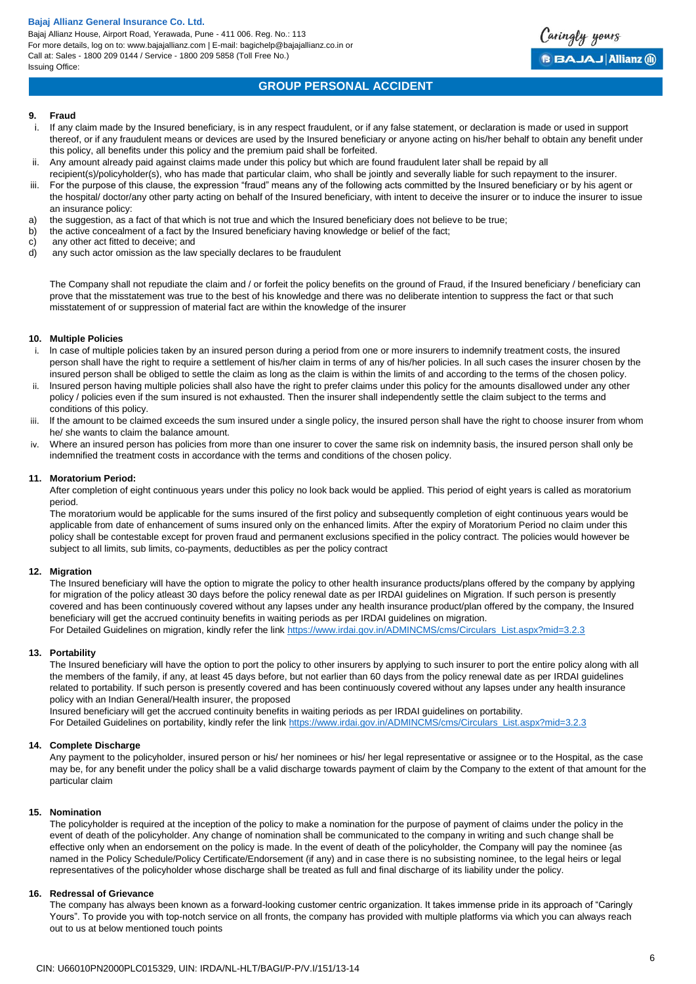Bajaj Allianz House, Airport Road, Yerawada, Pune - 411 006. Reg. No.: 113 For more details, log on to: www.bajajallianz.com | E-mail: bagichelp@bajajallianz.co.in or Call at: Sales - 1800 209 0144 / Service - 1800 209 5858 (Toll Free No.) Issuing Office:



# **GROUP PERSONAL ACCIDENT**

#### **9. Fraud**

- i. If any claim made by the Insured beneficiary, is in any respect fraudulent, or if any false statement, or declaration is made or used in support thereof, or if any fraudulent means or devices are used by the Insured beneficiary or anyone acting on his/her behalf to obtain any benefit under this policy, all benefits under this policy and the premium paid shall be forfeited.
- ii. Any amount already paid against claims made under this policy but which are found fraudulent later shall be repaid by all
	- recipient(s)/policyholder(s), who has made that particular claim, who shall be jointly and severally liable for such repayment to the insurer.
- iii. For the purpose of this clause, the expression "fraud" means any of the following acts committed by the Insured beneficiary or by his agent or the hospital/ doctor/any other party acting on behalf of the Insured beneficiary, with intent to deceive the insurer or to induce the insurer to issue an insurance policy:
- a) the suggestion, as a fact of that which is not true and which the Insured beneficiary does not believe to be true;<br>b) the active concealment of a fact by the Insured beneficiary having knowledge or belief of the fact:
- the active concealment of a fact by the Insured beneficiary having knowledge or belief of the fact;
- c) any other act fitted to deceive; and
- d) any such actor omission as the law specially declares to be fraudulent

The Company shall not repudiate the claim and / or forfeit the policy benefits on the ground of Fraud, if the Insured beneficiary / beneficiary can prove that the misstatement was true to the best of his knowledge and there was no deliberate intention to suppress the fact or that such misstatement of or suppression of material fact are within the knowledge of the insurer

#### **10. Multiple Policies**

- i. ln case of multiple policies taken by an insured person during a period from one or more insurers to indemnify treatment costs, the insured person shall have the right to require a settlement of his/her claim in terms of any of his/her policies. ln all such cases the insurer chosen by the insured person shall be obliged to settle the claim as long as the claim is within the limits of and according to the terms of the chosen policy.
- ii. lnsured person having multiple policies shall also have the right to prefer claims under this policy for the amounts disallowed under any other policy / policies even if the sum insured is not exhausted. Then the insurer shall independently settle the claim subject to the terms and conditions of this policy.
- iii. lf the amount to be claimed exceeds the sum insured under a single policy, the insured person shall have the right to choose insurer from whom he/ she wants to claim the balance amount.
- iv. Where an insured person has policies from more than one insurer to cover the same risk on indemnity basis, the insured person shall only be indemnified the treatment costs in accordance with the terms and conditions of the chosen policy.

## **11. Moratorium Period:**

After completion of eight continuous years under this policy no look back would be applied. This period of eight years is called as moratorium period.

The moratorium would be applicable for the sums insured of the first policy and subsequently completion of eight continuous years would be applicable from date of enhancement of sums insured only on the enhanced limits. After the expiry of Moratorium Period no claim under this policy shall be contestable except for proven fraud and permanent exclusions specified in the policy contract. The policies would however be subject to all limits, sub limits, co-payments, deductibles as per the policy contract

## **12. Migration**

The Insured beneficiary will have the option to migrate the policy to other health insurance products/plans offered by the company by applying for migration of the policy atleast 30 days before the policy renewal date as per IRDAI guidelines on Migration. If such person is presently covered and has been continuously covered without any lapses under any health insurance product/plan offered by the company, the Insured beneficiary will get the accrued continuity benefits in waiting periods as per IRDAI guidelines on migration.

For Detailed Guidelines on migration, kindly refer the link [https://www.irdai.gov.in/ADMINCMS/cms/Circulars\\_List.aspx?mid=3.2.3](https://www.irdai.gov.in/ADMINCMS/cms/Circulars_List.aspx?mid=3.2.3)

## **13. Portability**

The Insured beneficiary will have the option to port the policy to other insurers by applying to such insurer to port the entire policy along with all the members of the family, if any, at least 45 days before, but not earlier than 60 days from the policy renewal date as per IRDAI guidelines related to portability. If such person is presently covered and has been continuously covered without any lapses under any health insurance policy with an Indian General/Health insurer, the proposed

Insured beneficiary will get the accrued continuity benefits in waiting periods as per IRDAI guidelines on portability.

For Detailed Guidelines on portability, kindly refer the link [https://www.irdai.gov.in/ADMINCMS/cms/Circulars\\_List.aspx?mid=3.2.3](https://www.irdai.gov.in/ADMINCMS/cms/Circulars_List.aspx?mid=3.2.3)

## **14. Complete Discharge**

Any payment to the policyholder, insured person or his/ her nominees or his/ her legal representative or assignee or to the Hospital, as the case may be, for any benefit under the policy shall be a valid discharge towards payment of claim by the Company to the extent of that amount for the particular claim

## **15. Nomination**

The policyholder is required at the inception of the policy to make a nomination for the purpose of payment of claims under the policy in the event of death of the policyholder. Any change of nomination shall be communicated to the company in writing and such change shall be effective only when an endorsement on the policy is made. ln the event of death of the policyholder, the Company will pay the nominee {as named in the Policy Schedule/Policy Certificate/Endorsement (if any) and in case there is no subsisting nominee, to the legal heirs or legal representatives of the policyholder whose discharge shall be treated as full and final discharge of its liability under the policy.

## **16. Redressal of Grievance**

The company has always been known as a forward-looking customer centric organization. It takes immense pride in its approach of "Caringly Yours". To provide you with top-notch service on all fronts, the company has provided with multiple platforms via which you can always reach out to us at below mentioned touch points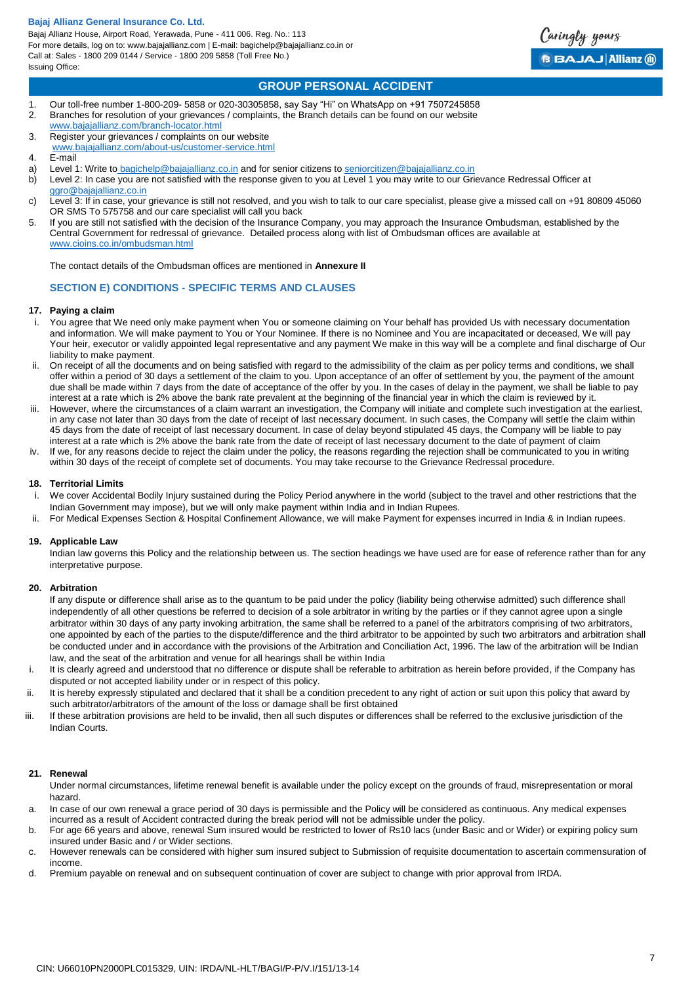Bajaj Allianz House, Airport Road, Yerawada, Pune - 411 006. Reg. No.: 113 For more details, log on to: www.bajajallianz.com | E-mail: bagichelp@bajajallianz.co.in or Call at: Sales - 1800 209 0144 / Service - 1800 209 5858 (Toll Free No.) Issuing Office:



Caringly yours

**BBAJAJ Allianz @** 

# **GROUP PERSONAL ACCIDENT**

- 1. Our toll-free number 1-800-209- 5858 or 020-30305858, say Say "Hi" on WhatsApp on +91 7507245858 2. Branches for resolution of your grievances / complaints, the Branch details can be found on our website
- [www.bajajallianz.com/branch-locator.html](http://www.bajajallianz.com/branch-locator.html)
- 3. Register your grievances / complaints on our website [www.bajajallianz.com/about-us/customer-service.html](http://www.bajajallianz.com/about-us/customer-service.html)
- 4. E-mail
- a) Level 1: Write to [bagichelp@bajajallianz.co.in](mailto:bagichelp@bajajallianz.co.in) and for senior citizens to [seniorcitizen@bajajallianz.co.in](mailto:seniorcitizen@bajajallianz.co.in)
- b) Level 2: In case you are not satisfied with the response given to you at Level 1 you may write to our Grievance Redressal Officer at [ggro@bajajallianz.co.in](mailto:ggro@bajajallianz.co.in)
- c) Level 3: If in case, your grievance is still not resolved, and you wish to talk to our care specialist, please give a missed call on +91 80809 45060 OR SMS To 575758 and our care specialist will call you back
- 5. If you are still not satisfied with the decision of the Insurance Company, you may approach the Insurance Ombudsman, established by the Central Government for redressal of grievance. Detailed process along with list of Ombudsman offices are available at [www.cioins.co.in/ombudsman.html](http://www.cioins.co.in/ombudsman.html)

The contact details of the Ombudsman offices are mentioned in **Annexure II**

# **SECTION E) CONDITIONS - SPECIFIC TERMS AND CLAUSES**

## **17. Paying a claim**

- i. You agree that We need only make payment when You or someone claiming on Your behalf has provided Us with necessary documentation and information. We will make payment to You or Your Nominee. If there is no Nominee and You are incapacitated or deceased, We will pay Your heir, executor or validly appointed legal representative and any payment We make in this way will be a complete and final discharge of Our liability to make payment.
- ii. On receipt of all the documents and on being satisfied with regard to the admissibility of the claim as per policy terms and conditions, we shall offer within a period of 30 days a settlement of the claim to you. Upon acceptance of an offer of settlement by you, the payment of the amount due shall be made within 7 days from the date of acceptance of the offer by you. In the cases of delay in the payment, we shall be liable to pay interest at a rate which is 2% above the bank rate prevalent at the beginning of the financial year in which the claim is reviewed by it.
- iii. However, where the circumstances of a claim warrant an investigation, the Company will initiate and complete such investigation at the earliest, in any case not later than 30 days from the date of receipt of last necessary document. In such cases, the Company will settle the claim within 45 days from the date of receipt of last necessary document. In case of delay beyond stipulated 45 days, the Company will be liable to pay interest at a rate which is 2% above the bank rate from the date of receipt of last necessary document to the date of payment of claim
- iv. If we, for any reasons decide to reject the claim under the policy, the reasons regarding the rejection shall be communicated to you in writing within 30 days of the receipt of complete set of documents. You may take recourse to the Grievance Redressal procedure.

#### **18. Territorial Limits**

- We cover Accidental Bodily Injury sustained during the Policy Period anywhere in the world (subject to the travel and other restrictions that the Indian Government may impose), but we will only make payment within India and in Indian Rupees.
- ii. For Medical Expenses Section & Hospital Confinement Allowance, we will make Payment for expenses incurred in India & in Indian rupees.

## **19. Applicable Law**

Indian law governs this Policy and the relationship between us. The section headings we have used are for ease of reference rather than for any interpretative purpose.

#### **20. Arbitration**

If any dispute or difference shall arise as to the quantum to be paid under the policy (liability being otherwise admitted) such difference shall independently of all other questions be referred to decision of a sole arbitrator in writing by the parties or if they cannot agree upon a single arbitrator within 30 days of any party invoking arbitration, the same shall be referred to a panel of the arbitrators comprising of two arbitrators, one appointed by each of the parties to the dispute/difference and the third arbitrator to be appointed by such two arbitrators and arbitration shall be conducted under and in accordance with the provisions of the Arbitration and Conciliation Act, 1996. The law of the arbitration will be Indian law, and the seat of the arbitration and venue for all hearings shall be within India

- i. It is clearly agreed and understood that no difference or dispute shall be referable to arbitration as herein before provided, if the Company has disputed or not accepted liability under or in respect of this policy.
- ii. It is hereby expressly stipulated and declared that it shall be a condition precedent to any right of action or suit upon this policy that award by such arbitrator/arbitrators of the amount of the loss or damage shall be first obtained
- iii. If these arbitration provisions are held to be invalid, then all such disputes or differences shall be referred to the exclusive jurisdiction of the Indian Courts.

#### **21. Renewal**

Under normal circumstances, lifetime renewal benefit is available under the policy except on the grounds of fraud, misrepresentation or moral hazard.

- a. In case of our own renewal a grace period of 30 days is permissible and the Policy will be considered as continuous. Any medical expenses incurred as a result of Accident contracted during the break period will not be admissible under the policy.
- b. For age 66 years and above, renewal Sum insured would be restricted to lower of Rs10 lacs (under Basic and or Wider) or expiring policy sum insured under Basic and / or Wider sections.
- c. However renewals can be considered with higher sum insured subject to Submission of requisite documentation to ascertain commensuration of income.
- d. Premium payable on renewal and on subsequent continuation of cover are subject to change with prior approval from IRDA.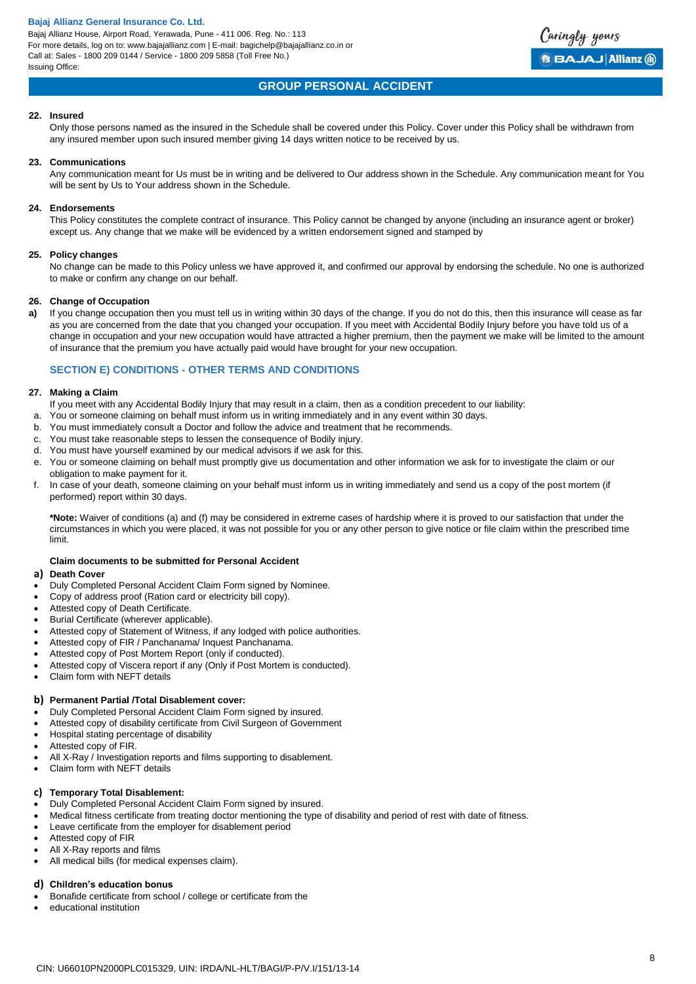Bajaj Allianz House, Airport Road, Yerawada, Pune - 411 006. Reg. No.: 113 For more details, log on to: www.bajajallianz.com | E-mail: bagichelp@bajajallianz.co.in or Call at: Sales - 1800 209 0144 / Service - 1800 209 5858 (Toll Free No.) Issuing Office:

# **GROUP PERSONAL ACCIDENT**

## **22. Insured**

Only those persons named as the insured in the Schedule shall be covered under this Policy. Cover under this Policy shall be withdrawn from any insured member upon such insured member giving 14 days written notice to be received by us.

#### **23. Communications**

Any communication meant for Us must be in writing and be delivered to Our address shown in the Schedule. Any communication meant for You will be sent by Us to Your address shown in the Schedule.

#### **24. Endorsements**

This Policy constitutes the complete contract of insurance. This Policy cannot be changed by anyone (including an insurance agent or broker) except us. Any change that we make will be evidenced by a written endorsement signed and stamped by

#### **25. Policy changes**

No change can be made to this Policy unless we have approved it, and confirmed our approval by endorsing the schedule. No one is authorized to make or confirm any change on our behalf.

# **26. Change of Occupation**

**a)** If you change occupation then you must tell us in writing within 30 days of the change. If you do not do this, then this insurance will cease as far as you are concerned from the date that you changed your occupation. If you meet with Accidental Bodily Injury before you have told us of a change in occupation and your new occupation would have attracted a higher premium, then the payment we make will be limited to the amount of insurance that the premium you have actually paid would have brought for your new occupation.

# **SECTION E) CONDITIONS - OTHER TERMS AND CONDITIONS**

#### **27. Making a Claim**

- If you meet with any Accidental Bodily Injury that may result in a claim, then as a condition precedent to our liability:
- a. You or someone claiming on behalf must inform us in writing immediately and in any event within 30 days.
- b. You must immediately consult a Doctor and follow the advice and treatment that he recommends.
- c. You must take reasonable steps to lessen the consequence of Bodily injury.
- d. You must have yourself examined by our medical advisors if we ask for this.
- e. You or someone claiming on behalf must promptly give us documentation and other information we ask for to investigate the claim or our obligation to make payment for it.
- f. In case of your death, someone claiming on your behalf must inform us in writing immediately and send us a copy of the post mortem (if performed) report within 30 days.

**\*Note:** Waiver of conditions (a) and (f) may be considered in extreme cases of hardship where it is proved to our satisfaction that under the circumstances in which you were placed, it was not possible for you or any other person to give notice or file claim within the prescribed time limit.

# **Claim documents to be submitted for Personal Accident**

#### **a) Death Cover**

- Duly Completed Personal Accident Claim Form signed by Nominee.
- Copy of address proof (Ration card or electricity bill copy).
- Attested copy of Death Certificate.
- Burial Certificate (wherever applicable).
- Attested copy of Statement of Witness, if any lodged with police authorities.
- Attested copy of FIR / Panchanama/ Inquest Panchanama.
- Attested copy of Post Mortem Report (only if conducted).
- Attested copy of Viscera report if any (Only if Post Mortem is conducted).
- Claim form with NEFT details

# **b) Permanent Partial /Total Disablement cover:**

- Duly Completed Personal Accident Claim Form signed by insured.
- Attested copy of disability certificate from Civil Surgeon of Government
- Hospital stating percentage of disability
- Attested copy of FIR.
- All X-Ray / Investigation reports and films supporting to disablement.
- Claim form with NEFT details

# **c) Temporary Total Disablement:**

- Duly Completed Personal Accident Claim Form signed by insured.
- Medical fitness certificate from treating doctor mentioning the type of disability and period of rest with date of fitness.
- Leave certificate from the employer for disablement period
- Attested copy of FIR
- All X-Ray reports and films
- All medical bills (for medical expenses claim).

# **d) Children's education bonus**

- Bonafide certificate from school / college or certificate from the
- educational institution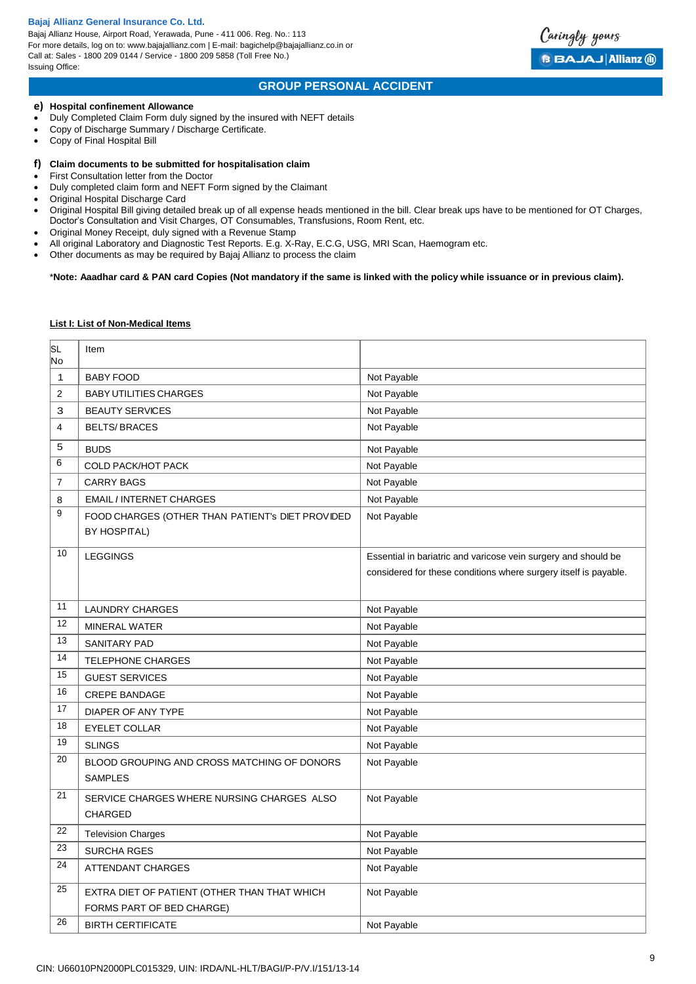Bajaj Allianz House, Airport Road, Yerawada, Pune - 411 006. Reg. No.: 113 For more details, log on to: www.bajajallianz.com | E-mail: bagichelp@bajajallianz.co.in or Call at: Sales - 1800 209 0144 / Service - 1800 209 5858 (Toll Free No.) Issuing Office:



# **GROUP PERSONAL ACCIDENT**

#### **e) Hospital confinement Allowance**

- Duly Completed Claim Form duly signed by the insured with NEFT details
- Copy of Discharge Summary / Discharge Certificate.
- Copy of Final Hospital Bill

#### **f) Claim documents to be submitted for hospitalisation claim**

- First Consultation letter from the Doctor
- Duly completed claim form and NEFT Form signed by the Claimant
- Original Hospital Discharge Card
- Original Hospital Bill giving detailed break up of all expense heads mentioned in the bill. Clear break ups have to be mentioned for OT Charges, Doctor's Consultation and Visit Charges, OT Consumables, Transfusions, Room Rent, etc.
- Original Money Receipt, duly signed with a Revenue Stamp
- All original Laboratory and Diagnostic Test Reports. E.g. X-Ray, E.C.G, USG, MRI Scan, Haemogram etc.
- Other documents as may be required by Bajaj Allianz to process the claim

## \***Note: Aaadhar card & PAN card Copies (Not mandatory if the same is linked with the policy while issuance or in previous claim).**

#### **List I: List of Non-Medical Items**

| SL<br>No       | Item                                                                      |                                                                                                                                    |
|----------------|---------------------------------------------------------------------------|------------------------------------------------------------------------------------------------------------------------------------|
| 1              | <b>BABY FOOD</b>                                                          | Not Payable                                                                                                                        |
| $\overline{2}$ | <b>BABY UTILITIES CHARGES</b>                                             | Not Payable                                                                                                                        |
| 3              | <b>BEAUTY SERVICES</b>                                                    | Not Payable                                                                                                                        |
| 4              | <b>BELTS/BRACES</b>                                                       | Not Payable                                                                                                                        |
| 5              | <b>BUDS</b>                                                               | Not Payable                                                                                                                        |
| 6              | <b>COLD PACK/HOT PACK</b>                                                 | Not Payable                                                                                                                        |
| 7              | <b>CARRY BAGS</b>                                                         | Not Payable                                                                                                                        |
| 8              | <b>EMAIL / INTERNET CHARGES</b>                                           | Not Payable                                                                                                                        |
| 9              | FOOD CHARGES (OTHER THAN PATIENT'S DIET PROVIDED<br><b>BY HOSPITAL)</b>   | Not Payable                                                                                                                        |
| 10             | <b>LEGGINGS</b>                                                           | Essential in bariatric and varicose vein surgery and should be<br>considered for these conditions where surgery itself is payable. |
| 11             | <b>LAUNDRY CHARGES</b>                                                    | Not Payable                                                                                                                        |
| 12             | <b>MINERAL WATER</b>                                                      | Not Payable                                                                                                                        |
| 13             | <b>SANITARY PAD</b>                                                       | Not Payable                                                                                                                        |
| 14             | <b>TELEPHONE CHARGES</b>                                                  | Not Payable                                                                                                                        |
| 15             | <b>GUEST SERVICES</b>                                                     | Not Payable                                                                                                                        |
| 16             | <b>CREPE BANDAGE</b>                                                      | Not Payable                                                                                                                        |
| 17             | DIAPER OF ANY TYPE                                                        | Not Payable                                                                                                                        |
| 18             | <b>EYELET COLLAR</b>                                                      | Not Payable                                                                                                                        |
| 19             | <b>SLINGS</b>                                                             | Not Payable                                                                                                                        |
| 20             | BLOOD GROUPING AND CROSS MATCHING OF DONORS<br><b>SAMPLES</b>             | Not Payable                                                                                                                        |
| 21             | SERVICE CHARGES WHERE NURSING CHARGES ALSO<br><b>CHARGED</b>              | Not Payable                                                                                                                        |
| 22             | <b>Television Charges</b>                                                 | Not Payable                                                                                                                        |
| 23             | <b>SURCHA RGES</b>                                                        | Not Payable                                                                                                                        |
| 24             | ATTENDANT CHARGES                                                         | Not Payable                                                                                                                        |
| 25             | EXTRA DIET OF PATIENT (OTHER THAN THAT WHICH<br>FORMS PART OF BED CHARGE) | Not Payable                                                                                                                        |
| 26             | <b>BIRTH CERTIFICATE</b>                                                  | Not Payable                                                                                                                        |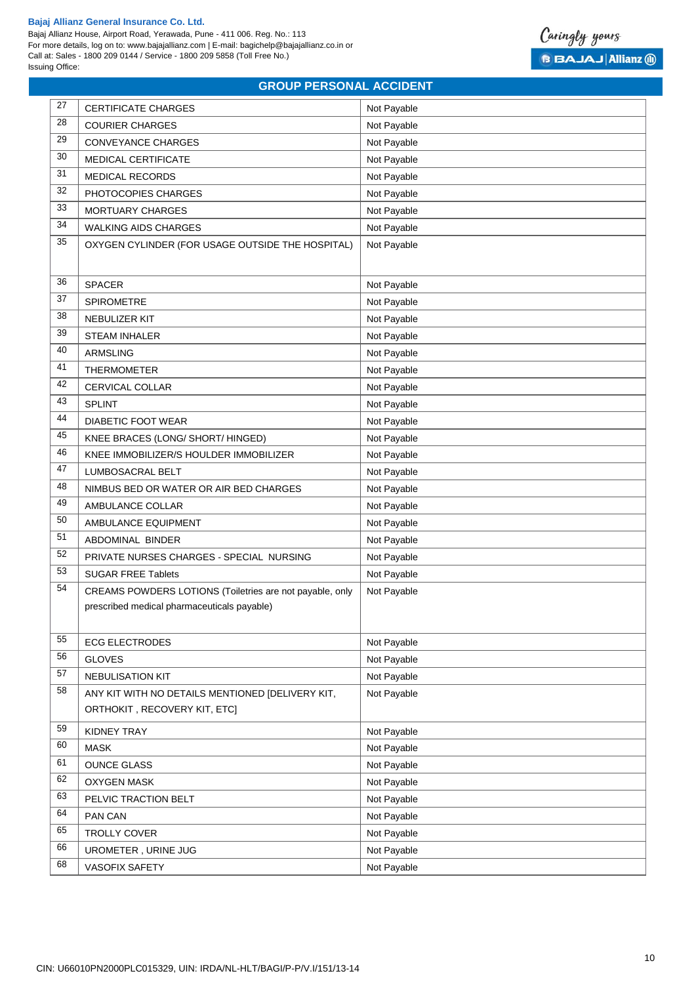Bajaj Allianz House, Airport Road, Yerawada, Pune - 411 006. Reg. No.: 113 For more details, log on to: www.bajajallianz.com | E-mail: bagichelp@bajajallianz.co.in or Call at: Sales - 1800 209 0144 / Service - 1800 209 5858 (Toll Free No.) Issuing Office:



# **GROUP PERSONAL ACCIDENT**

| 27 | <b>CERTIFICATE CHARGES</b>                               | Not Payable                |
|----|----------------------------------------------------------|----------------------------|
| 28 | <b>COURIER CHARGES</b>                                   | Not Payable                |
| 29 | <b>CONVEYANCE CHARGES</b>                                | Not Payable                |
| 30 | MEDICAL CERTIFICATE                                      | Not Payable                |
| 31 | <b>MEDICAL RECORDS</b>                                   | Not Payable                |
| 32 | PHOTOCOPIES CHARGES                                      | Not Payable                |
| 33 | <b>MORTUARY CHARGES</b>                                  | Not Payable                |
| 34 | <b>WALKING AIDS CHARGES</b>                              | Not Payable                |
| 35 | OXYGEN CYLINDER (FOR USAGE OUTSIDE THE HOSPITAL)         | Not Payable                |
|    |                                                          |                            |
| 36 | <b>SPACER</b>                                            |                            |
| 37 | <b>SPIROMETRE</b>                                        | Not Payable<br>Not Payable |
| 38 | NEBULIZER KIT                                            | Not Payable                |
| 39 | <b>STEAM INHALER</b>                                     | Not Payable                |
| 40 | ARMSLING                                                 | Not Payable                |
| 41 | <b>THERMOMETER</b>                                       | Not Payable                |
| 42 | CERVICAL COLLAR                                          | Not Payable                |
| 43 | <b>SPLINT</b>                                            | Not Payable                |
| 44 | <b>DIABETIC FOOT WEAR</b>                                | Not Payable                |
| 45 | KNEE BRACES (LONG/ SHORT/ HINGED)                        | Not Payable                |
| 46 | KNEE IMMOBILIZER/S HOULDER IMMOBILIZER                   | Not Payable                |
| 47 | LUMBOSACRAL BELT                                         | Not Payable                |
| 48 | NIMBUS BED OR WATER OR AIR BED CHARGES                   | Not Payable                |
| 49 | AMBULANCE COLLAR                                         | Not Payable                |
| 50 | AMBULANCE EQUIPMENT                                      | Not Payable                |
| 51 | ABDOMINAL BINDER                                         | Not Payable                |
| 52 | PRIVATE NURSES CHARGES - SPECIAL NURSING                 | Not Payable                |
| 53 | <b>SUGAR FREE Tablets</b>                                | Not Payable                |
| 54 | CREAMS POWDERS LOTIONS (Toiletries are not payable, only | Not Payable                |
|    | prescribed medical pharmaceuticals payable)              |                            |
|    |                                                          |                            |
| 55 | <b>ECG ELECTRODES</b>                                    | Not Payable                |
| 56 | <b>GLOVES</b>                                            | Not Payable                |
| 57 | NEBULISATION KIT                                         | Not Payable                |
| 58 | ANY KIT WITH NO DETAILS MENTIONED [DELIVERY KIT,         | Not Payable                |
|    | ORTHOKIT, RECOVERY KIT, ETC]                             |                            |
| 59 | KIDNEY TRAY                                              | Not Payable                |
| 60 | <b>MASK</b>                                              | Not Payable                |
| 61 | <b>OUNCE GLASS</b>                                       | Not Payable                |
| 62 | <b>OXYGEN MASK</b>                                       | Not Payable                |
| 63 | PELVIC TRACTION BELT                                     | Not Payable                |
| 64 | PAN CAN                                                  | Not Payable                |
| 65 | TROLLY COVER                                             | Not Payable                |
| 66 | UROMETER, URINE JUG                                      | Not Payable                |
| 68 | VASOFIX SAFETY                                           | Not Payable                |
|    |                                                          |                            |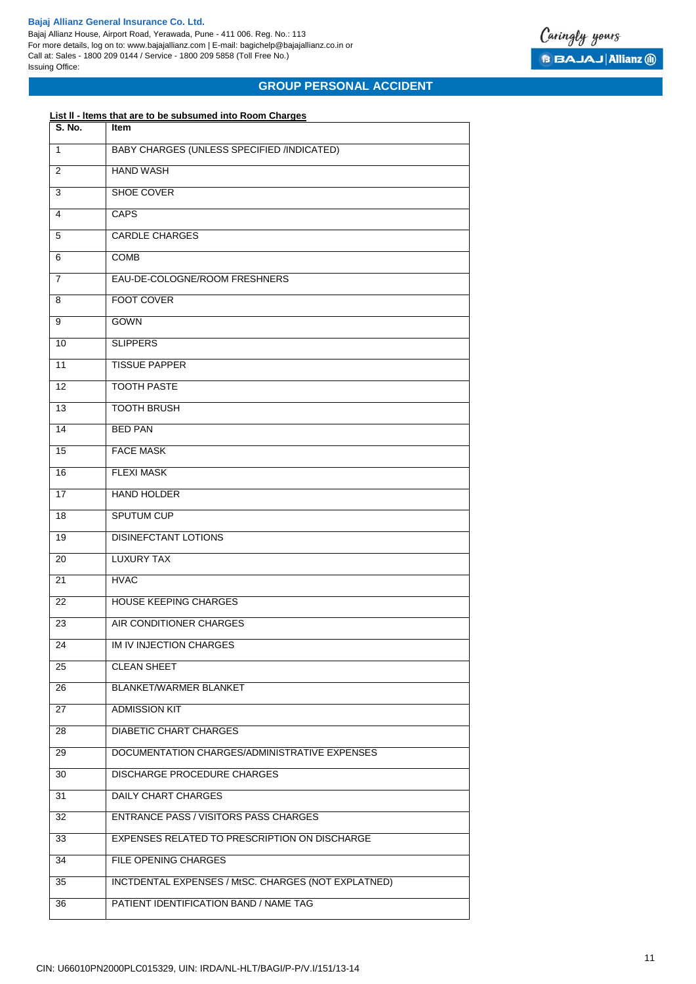Bajaj Allianz House, Airport Road, Yerawada, Pune - 411 006. Reg. No.: 113 For more details, log on to: www.bajajallianz.com | E-mail: bagichelp@bajajallianz.co.in or Call at: Sales - 1800 209 0144 / Service - 1800 209 5858 (Toll Free No.) Issuing Office:



# **GROUP PERSONAL ACCIDENT**

# **List ll - ltems that are to be subsumed into Room Charges**

| S. No.          | Item                                                |  |
|-----------------|-----------------------------------------------------|--|
| 1               | BABY CHARGES (UNLESS SPECIFIED /INDICATED)          |  |
| 2               | <b>HAND WASH</b>                                    |  |
| 3               | SHOE COVER                                          |  |
| 4               | <b>CAPS</b>                                         |  |
| 5               | <b>CARDLE CHARGES</b>                               |  |
| 6               | COMB                                                |  |
| 7               | EAU-DE-COLOGNE/ROOM FRESHNERS                       |  |
| 8               | <b>FOOT COVER</b>                                   |  |
| 9               | <b>GOWN</b>                                         |  |
| 10              | <b>SLIPPERS</b>                                     |  |
| 11              | <b>TISSUE PAPPER</b>                                |  |
| 12              | <b>TOOTH PASTE</b>                                  |  |
| 13              | <b>TOOTH BRUSH</b>                                  |  |
| 14              | <b>BED PAN</b>                                      |  |
| 15              | <b>FACE MASK</b>                                    |  |
| 16              | <b>FLEXI MASK</b>                                   |  |
| 17              | <b>HAND HOLDER</b>                                  |  |
| 18              | <b>SPUTUM CUP</b>                                   |  |
| 19              | <b>DISINEFCTANT LOTIONS</b>                         |  |
| 20              | <b>LUXURY TAX</b>                                   |  |
| 21              | <b>HVAC</b>                                         |  |
| 22              | <b>HOUSE KEEPING CHARGES</b>                        |  |
| 23              | AIR CONDITIONER CHARGES                             |  |
| 24              | IM IV INJECTION CHARGES                             |  |
| 25              | <b>CLEAN SHEET</b>                                  |  |
| 26              | <b>BLANKET/WARMER BLANKET</b>                       |  |
| 27              | <b>ADMISSION KIT</b>                                |  |
| 28              | <b>DIABETIC CHART CHARGES</b>                       |  |
| 29              | DOCUMENTATION CHARGES/ADMINISTRATIVE EXPENSES       |  |
| 30              | <b>DISCHARGE PROCEDURE CHARGES</b>                  |  |
| 31              | <b>DAILY CHART CHARGES</b>                          |  |
| 32              | <b>ENTRANCE PASS / VISITORS PASS CHARGES</b>        |  |
| 33              | EXPENSES RELATED TO PRESCRIPTION ON DISCHARGE       |  |
| $\overline{34}$ | FILE OPENING CHARGES                                |  |
| 35              | INCTDENTAL EXPENSES / MtSC. CHARGES (NOT EXPLATNED) |  |
| 36              | PATIENT IDENTIFICATION BAND / NAME TAG              |  |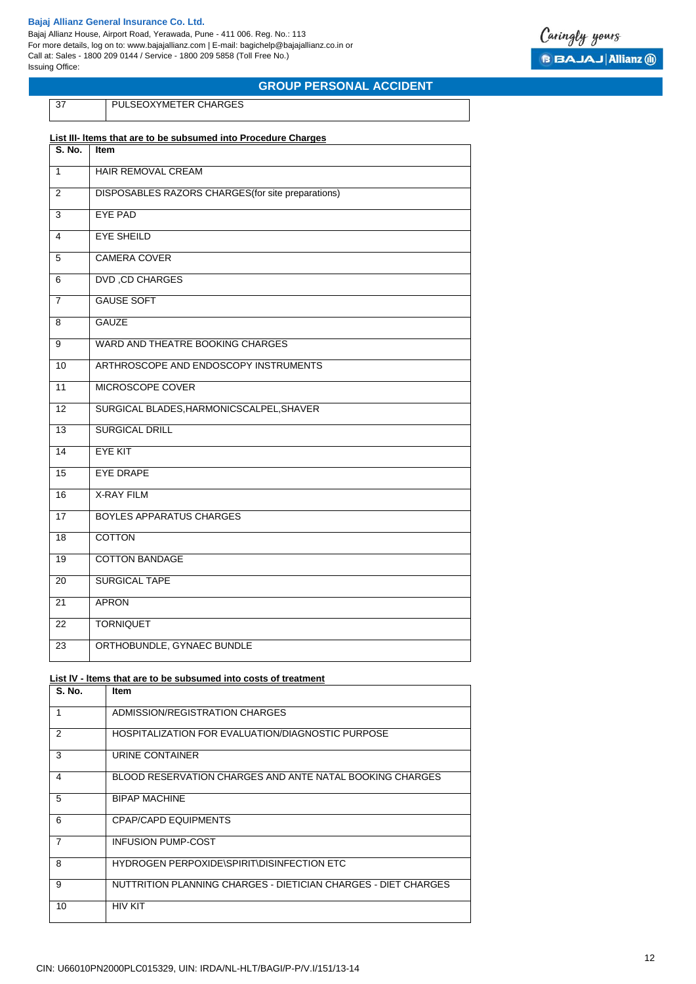Bajaj Allianz House, Airport Road, Yerawada, Pune - 411 006. Reg. No.: 113 For more details, log on to: www.bajajallianz.com | E-mail: bagichelp@bajajallianz.co.in or Call at: Sales - 1800 209 0144 / Service - 1800 209 5858 (Toll Free No.) Issuing Office:



# **GROUP PERSONAL ACCIDENT**

PULSEOXYMETER CHARGES

| List III- Items that are to be subsumed into Procedure Charges |                                                    |  |
|----------------------------------------------------------------|----------------------------------------------------|--|
| S. No.                                                         | <b>Item</b>                                        |  |
| $\mathbf{1}$                                                   | HAIR REMOVAL CREAM                                 |  |
| 2                                                              | DISPOSABLES RAZORS CHARGES (for site preparations) |  |
| 3                                                              | <b>EYE PAD</b>                                     |  |
| 4                                                              | <b>EYE SHEILD</b>                                  |  |
| 5                                                              | <b>CAMERA COVER</b>                                |  |
| 6                                                              | <b>DVD, CD CHARGES</b>                             |  |
| $\overline{7}$                                                 | <b>GAUSE SOFT</b>                                  |  |
| 8                                                              | <b>GAUZE</b>                                       |  |
| 9                                                              | WARD AND THEATRE BOOKING CHARGES                   |  |
| 10                                                             | ARTHROSCOPE AND ENDOSCOPY INSTRUMENTS              |  |
| 11                                                             | MICROSCOPE COVER                                   |  |
| 12                                                             | SURGICAL BLADES, HARMONICSCALPEL, SHAVER           |  |
| 13                                                             | <b>SURGICAL DRILL</b>                              |  |
| 14                                                             | <b>EYE KIT</b>                                     |  |
| 15                                                             | <b>EYE DRAPE</b>                                   |  |
| 16                                                             | <b>X-RAY FILM</b>                                  |  |
| 17                                                             | <b>BOYLES APPARATUS CHARGES</b>                    |  |
| 18                                                             | <b>COTTON</b>                                      |  |
| 19                                                             | <b>COTTON BANDAGE</b>                              |  |
| 20                                                             | <b>SURGICAL TAPE</b>                               |  |
| 21                                                             | <b>APRON</b>                                       |  |
| 22                                                             | <b>TORNIQUET</b>                                   |  |
| 23                                                             | ORTHOBUNDLE, GYNAEC BUNDLE                         |  |
|                                                                |                                                    |  |

#### **List lV - ltems that are to be subsumed into costs of treatment**

| <b>S. No.</b>  | <b>Item</b>                                                    |
|----------------|----------------------------------------------------------------|
| 1              | ADMISSION/REGISTRATION CHARGES                                 |
| 2              | HOSPITALIZATION FOR EVALUATION/DIAGNOSTIC PURPOSE              |
| 3              | URINE CONTAINER                                                |
| 4              | BLOOD RESERVATION CHARGES AND ANTE NATAL BOOKING CHARGES       |
| 5              | <b>BIPAP MACHINE</b>                                           |
| 6              | CPAP/CAPD EQUIPMENTS                                           |
| $\overline{7}$ | <b>INFUSION PUMP-COST</b>                                      |
| 8              | HYDROGEN PERPOXIDE\SPIRIT\DISINFECTION ETC                     |
| 9              | NUTTRITION PLANNING CHARGES - DIETICIAN CHARGES - DIET CHARGES |
| 10             | <b>HIV KIT</b>                                                 |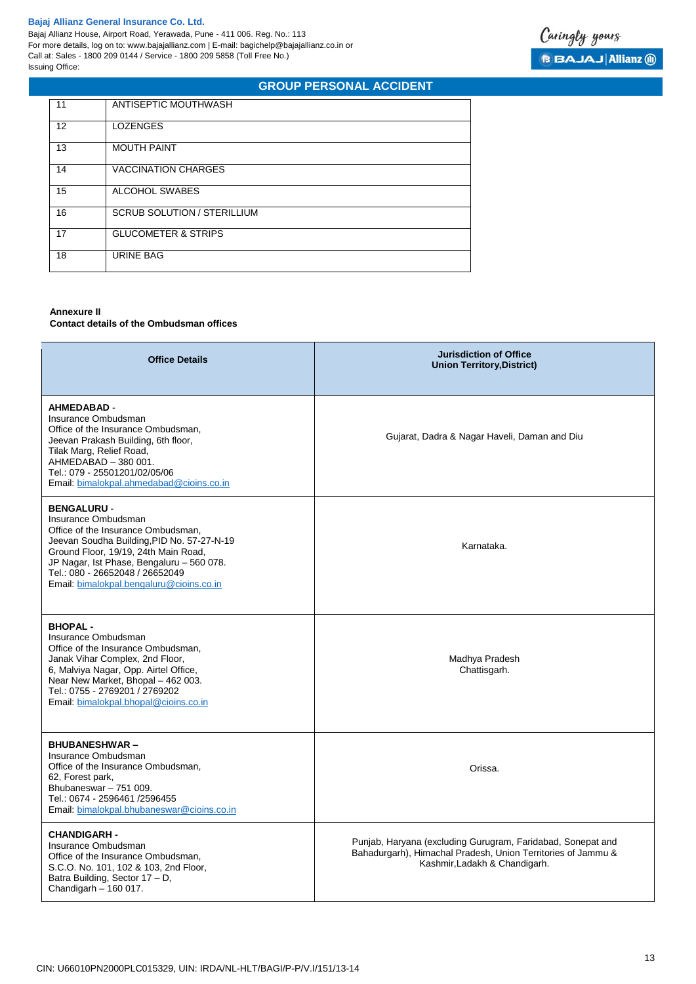Bajaj Allianz House, Airport Road, Yerawada, Pune - 411 006. Reg. No.: 113 For more details, log on to: www.bajajallianz.com | E-mail: bagichelp@bajajallianz.co.in or Call at: Sales - 1800 209 0144 / Service - 1800 209 5858 (Toll Free No.) Issuing Office:

# **GROUP PERSONAL ACCIDENT**

| 11 | ANTISEPTIC MOUTHWASH               |
|----|------------------------------------|
| 12 | <b>LOZENGES</b>                    |
| 13 | <b>MOUTH PAINT</b>                 |
| 14 | <b>VACCINATION CHARGES</b>         |
| 15 | ALCOHOL SWABES                     |
| 16 | <b>SCRUB SOLUTION / STERILLIUM</b> |
| 17 | <b>GLUCOMETER &amp; STRIPS</b>     |
| 18 | URINE BAG                          |

# **Annexure II**

**Contact details of the Ombudsman offices**

| <b>Office Details</b>                                                                                                                                                                                                                                                                             | <b>Jurisdiction of Office</b><br><b>Union Territory, District)</b>                                                                                           |
|---------------------------------------------------------------------------------------------------------------------------------------------------------------------------------------------------------------------------------------------------------------------------------------------------|--------------------------------------------------------------------------------------------------------------------------------------------------------------|
| <b>AHMEDABAD -</b><br>Insurance Ombudsman<br>Office of the Insurance Ombudsman,<br>Jeevan Prakash Building, 6th floor,<br>Tilak Marg, Relief Road,<br>AHMEDABAD - 380 001.<br>Tel.: 079 - 25501201/02/05/06<br>Email: bimalokpal.ahmedabad@cioins.co.in                                           | Gujarat, Dadra & Nagar Haveli, Daman and Diu                                                                                                                 |
| <b>BENGALURU -</b><br>Insurance Ombudsman<br>Office of the Insurance Ombudsman,<br>Jeevan Soudha Building, PID No. 57-27-N-19<br>Ground Floor, 19/19, 24th Main Road,<br>JP Nagar, Ist Phase, Bengaluru - 560 078.<br>Tel.: 080 - 26652048 / 26652049<br>Email: bimalokpal.bengaluru@cioins.co.in | Karnataka.                                                                                                                                                   |
| <b>BHOPAL-</b><br>Insurance Ombudsman<br>Office of the Insurance Ombudsman,<br>Janak Vihar Complex, 2nd Floor,<br>6, Malviya Nagar, Opp. Airtel Office,<br>Near New Market, Bhopal - 462 003.<br>Tel.: 0755 - 2769201 / 2769202<br>Email: bimalokpal.bhopal@cioins.co.in                          | Madhya Pradesh<br>Chattisgarh.                                                                                                                               |
| <b>BHUBANESHWAR-</b><br>Insurance Ombudsman<br>Office of the Insurance Ombudsman,<br>62, Forest park,<br>Bhubaneswar - 751 009.<br>Tel.: 0674 - 2596461 /2596455<br>Email: bimalokpal.bhubaneswar@cioins.co.in                                                                                    | Orissa.                                                                                                                                                      |
| <b>CHANDIGARH -</b><br>Insurance Ombudsman<br>Office of the Insurance Ombudsman,<br>S.C.O. No. 101, 102 & 103, 2nd Floor,<br>Batra Building, Sector 17 - D,<br>Chandigarh $-160017$ .                                                                                                             | Punjab, Haryana (excluding Gurugram, Faridabad, Sonepat and<br>Bahadurgarh), Himachal Pradesh, Union Territories of Jammu &<br>Kashmir, Ladakh & Chandigarh. |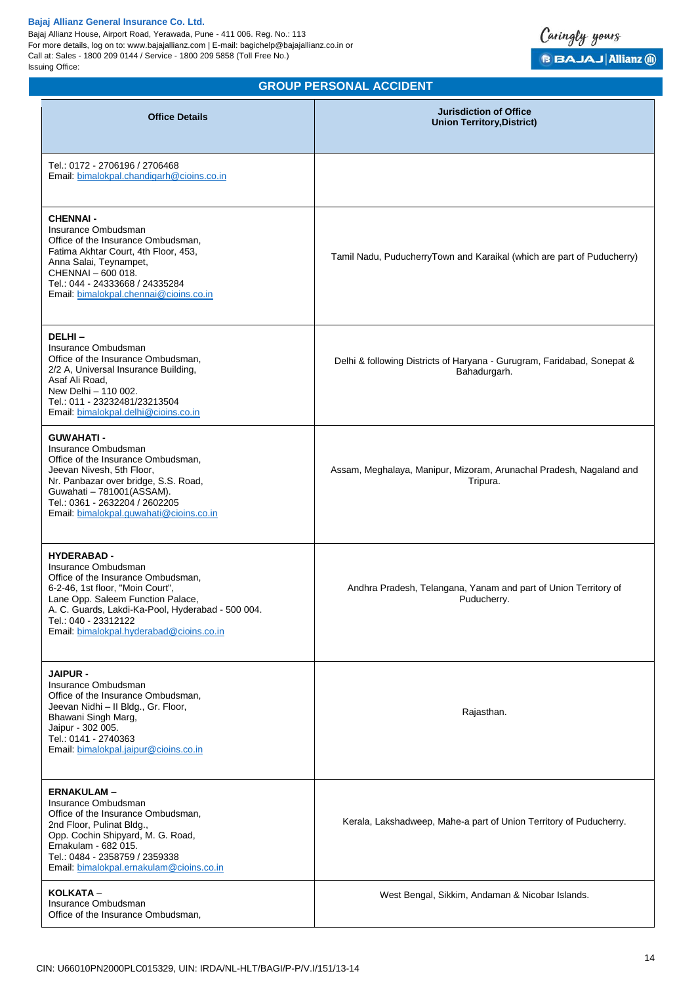Bajaj Allianz House, Airport Road, Yerawada, Pune - 411 006. Reg. No.: 113 For more details, log on to: www.bajajallianz.com | E-mail: bagichelp@bajajallianz.co.in or Call at: Sales - 1800 209 0144 / Service - 1800 209 5858 (Toll Free No.) Issuing Office:



# **GROUP PERSONAL ACCIDENT**

| <b>Office Details</b>                                                                                                                                                                                                                                                            | <b>Jurisdiction of Office</b><br><b>Union Territory, District)</b>                      |
|----------------------------------------------------------------------------------------------------------------------------------------------------------------------------------------------------------------------------------------------------------------------------------|-----------------------------------------------------------------------------------------|
| Tel.: 0172 - 2706196 / 2706468<br>Email: bimalokpal.chandigarh@cioins.co.in                                                                                                                                                                                                      |                                                                                         |
| <b>CHENNAI-</b><br>Insurance Ombudsman<br>Office of the Insurance Ombudsman,<br>Fatima Akhtar Court, 4th Floor, 453,<br>Anna Salai, Teynampet,<br>CHENNAI - 600 018.<br>Tel.: 044 - 24333668 / 24335284<br>Email: bimalokpal.chennai@cioins.co.in                                | Tamil Nadu, PuducherryTown and Karaikal (which are part of Puducherry)                  |
| DELHI-<br>Insurance Ombudsman<br>Office of the Insurance Ombudsman,<br>2/2 A, Universal Insurance Building,<br>Asaf Ali Road,<br>New Delhi - 110 002.<br>Tel.: 011 - 23232481/23213504<br>Email: bimalokpal.delhi@cioins.co.in                                                   | Delhi & following Districts of Haryana - Gurugram, Faridabad, Sonepat &<br>Bahadurgarh. |
| <b>GUWAHATI-</b><br>Insurance Ombudsman<br>Office of the Insurance Ombudsman,<br>Jeevan Nivesh, 5th Floor,<br>Nr. Panbazar over bridge, S.S. Road,<br>Guwahati - 781001(ASSAM).<br>Tel.: 0361 - 2632204 / 2602205<br>Email: bimalokpal.guwahati@cioins.co.in                     | Assam, Meghalaya, Manipur, Mizoram, Arunachal Pradesh, Nagaland and<br>Tripura.         |
| <b>HYDERABAD-</b><br>Insurance Ombudsman<br>Office of the Insurance Ombudsman,<br>6-2-46, 1st floor, "Moin Court",<br>Lane Opp. Saleem Function Palace,<br>A. C. Guards, Lakdi-Ka-Pool, Hyderabad - 500 004.<br>Tel.: 040 - 23312122<br>Email: bimalokpal.hyderabad@cioins.co.in | Andhra Pradesh, Telangana, Yanam and part of Union Territory of<br>Puducherry.          |
| <b>JAIPUR -</b><br>Insurance Ombudsman<br>Office of the Insurance Ombudsman,<br>Jeevan Nidhi - Il Bldg., Gr. Floor,<br>Bhawani Singh Marg,<br>Jaipur - 302 005.<br>Tel.: 0141 - 2740363<br>Email: bimalokpal.jaipur@cioins.co.in                                                 | Rajasthan.                                                                              |
| <b>ERNAKULAM-</b><br>Insurance Ombudsman<br>Office of the Insurance Ombudsman,<br>2nd Floor, Pulinat Bldg.,<br>Opp. Cochin Shipyard, M. G. Road,<br>Ernakulam - 682 015.<br>Tel.: 0484 - 2358759 / 2359338<br>Email: bimalokpal.ernakulam@cioins.co.in                           | Kerala, Lakshadweep, Mahe-a part of Union Territory of Puducherry.                      |
| KOLKATA -<br>Insurance Ombudsman<br>Office of the Insurance Ombudsman,                                                                                                                                                                                                           | West Bengal, Sikkim, Andaman & Nicobar Islands.                                         |